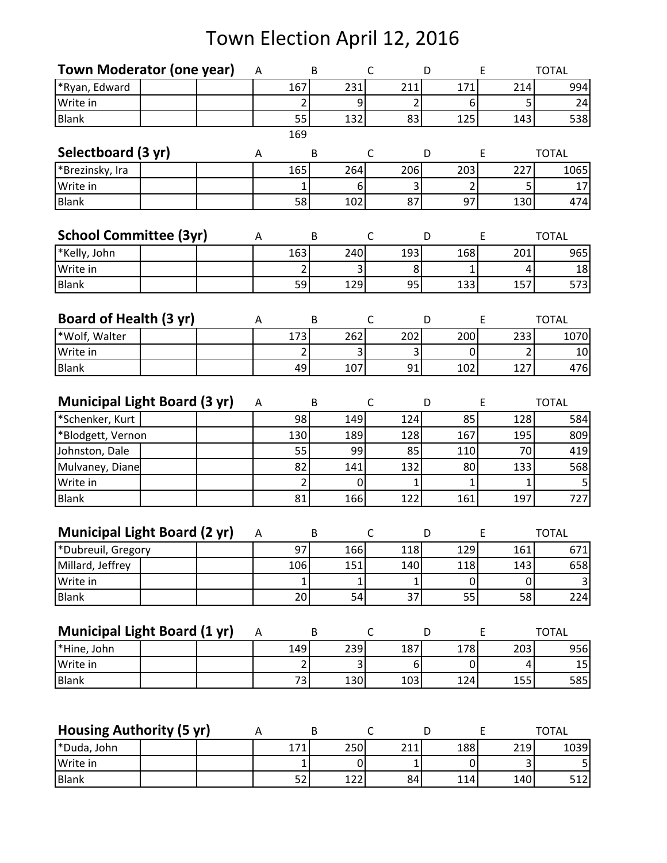| <b>Town Moderator (one year)</b>    |  | Α | B              |             | $\mathsf{C}$   | D              | E           | <b>TOTAL</b>    |
|-------------------------------------|--|---|----------------|-------------|----------------|----------------|-------------|-----------------|
| *Ryan, Edward                       |  |   | 167            | 231         | 211            | 171            | 214         | 994             |
| Write in                            |  |   | $\overline{2}$ | 9           | $\overline{2}$ | 6              | 5           | 24              |
| <b>Blank</b>                        |  |   | 55             | 132         | 83             | 125            | 143         | 538             |
|                                     |  |   | 169            |             |                |                |             |                 |
| Selectboard (3 yr)                  |  | Α | B              |             | $\mathsf C$    | D              | E           | <b>TOTAL</b>    |
| *Brezinsky, Ira                     |  |   | 165            | 264         | 206            | 203            | 227         | 1065            |
| Write in                            |  |   | $\overline{1}$ | 6           | 3              | $\overline{2}$ | 5           | 17              |
| <b>Blank</b>                        |  |   | 58             | 102         | 87             | 97             | 130         | 474             |
|                                     |  |   |                |             |                |                |             |                 |
| <b>School Committee (3yr)</b>       |  | A | B              |             | $\mathsf C$    | D              | E           | <b>TOTAL</b>    |
| *Kelly, John                        |  |   | 163            | 240         | 193            | 168            | 201         | 965             |
| Write in                            |  |   | $\overline{2}$ | 3           | 8              | $\mathbf{1}$   | 4           | 18              |
| <b>Blank</b>                        |  |   | 59             | 129         | 95             | 133            | 157         | 573             |
|                                     |  |   |                |             |                |                |             |                 |
| Board of Health (3 yr)              |  | Α | B              |             | $\mathsf C$    | D              | E           | <b>TOTAL</b>    |
| *Wolf, Walter                       |  |   | 173            | 262         | 202            | 200            | 233         | 1070            |
| Write in                            |  |   | $\overline{c}$ | 3           | $\mathsf 3$    | $\mathbf 0$    | 2           | $10\,$          |
| <b>Blank</b>                        |  |   | 49             | 107         | 91             | 102            | 127         | 476             |
|                                     |  |   |                |             |                |                |             |                 |
| <b>Municipal Light Board (3 yr)</b> |  | Α | B              |             | C              | D              | E           | <b>TOTAL</b>    |
| *Schenker, Kurt                     |  |   | 98             | 149         | 124            | 85             | 128         | 584             |
| *Blodgett, Vernon                   |  |   | 130            | 189         | 128            | 167            | 195         | 809             |
| Johnston, Dale                      |  |   | 55             | 99          | 85             | 110            | 70          | 419             |
| Mulvaney, Diane                     |  |   | 82             | 141         | 132            | 80             | 133         | 568             |
| Write in                            |  |   | $\overline{2}$ | $\mathbf 0$ | $\mathbf{1}$   | 1              | 1           | 5               |
| <b>Blank</b>                        |  |   | 81             | 166         | 122            | 161            | 197         | 727             |
|                                     |  |   |                |             |                |                |             |                 |
| <b>Municipal Light Board (2 yr)</b> |  | Α | B              |             | C              | D              | E           | <b>TOTAL</b>    |
| *Dubreuil, Gregory                  |  |   | 97             | 166         | 118            | 129            | 161         | 671             |
| Millard, Jeffrey                    |  |   | 106            | 151         | 140            | 118            | 143         | 658             |
| Write in                            |  |   | 1              | 1           | 1              | $\mathbf 0$    | $\mathbf 0$ | $\vert 3 \vert$ |
| <b>Blank</b>                        |  |   | 20             | 54          | 37             | 55             | 58          | 224             |
|                                     |  |   |                |             |                |                |             |                 |
| <b>Municipal Light Board (1 yr)</b> |  | Α | B              |             | $\mathsf C$    | D              | E           | <b>TOTAL</b>    |
| *Hine, John                         |  |   | 149            | 239         | 187            | 178            | 203         | 956             |
| Write in                            |  |   | 2              | 3           | 6              | 0              |             | 15              |
| <b>Blank</b>                        |  |   | 73             | 130         | 103            | 124            | 155         | 585             |
|                                     |  |   |                |             |                |                |             |                 |
|                                     |  |   |                |             |                |                |             |                 |
| <b>Housing Authority (5 yr)</b>     |  | Α | B              |             | C              | D              | E           | <b>TOTAL</b>    |
| *Duda, John                         |  |   | 171            | 250         | 211            | 188            | 219         | 1039            |
| Write in                            |  |   | 1              | 0           | 1              | $\mathbf 0$    | 3           | 5               |
| Blank                               |  |   | 52             | 122         | 84             | 114            | 140         | 512             |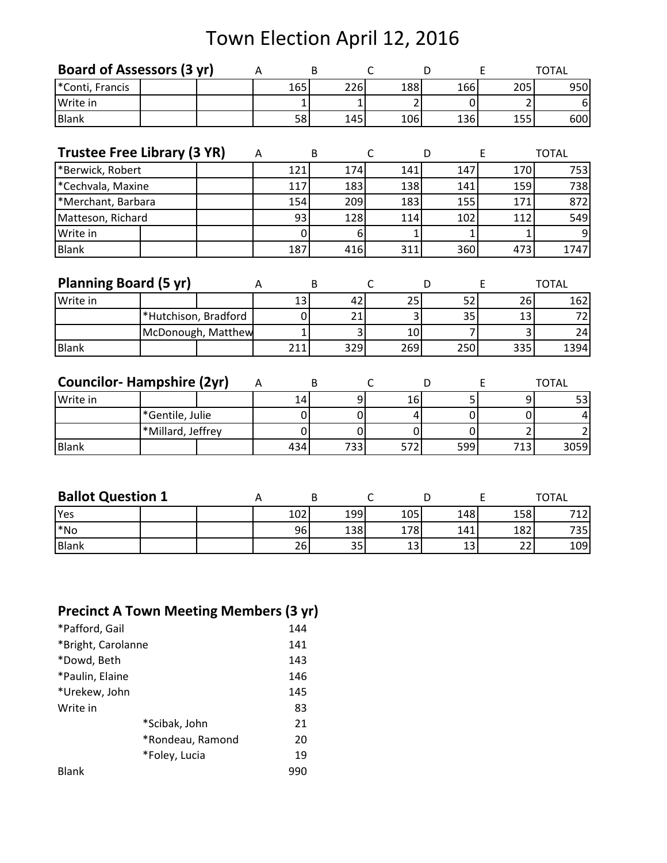|                                          | <b>Board of Assessors (3 yr)</b>   |                    | A           | B                | $\mathsf{C}$      | D              | E              | <b>TOTAL</b>        |
|------------------------------------------|------------------------------------|--------------------|-------------|------------------|-------------------|----------------|----------------|---------------------|
| *Conti, Francis                          |                                    |                    | 165         | 226              | 188               | 166            | 205            | 950                 |
| Write in                                 |                                    |                    | 1           | 1                | 2                 | 0              | 2              | 6                   |
| <b>Blank</b>                             |                                    |                    | 58          | 145              | 106               | 136            | 155            | 600                 |
|                                          |                                    |                    |             |                  |                   |                |                |                     |
|                                          | <b>Trustee Free Library (3 YR)</b> |                    | A           | B                | C                 | D              | E              | <b>TOTAL</b>        |
| *Berwick, Robert                         |                                    |                    | 121         | 174              | 141               | 147            | 170            | 753                 |
| *Cechvala, Maxine                        |                                    |                    | 117         | 183              | 138               | 141            | 159            | 738                 |
| *Merchant, Barbara                       |                                    |                    | 154         | 209              | 183               | 155            | 171            | 872                 |
| Matteson, Richard                        |                                    |                    | 93          | 128              | 114               | 102            | 112            | 549                 |
| Write in                                 |                                    |                    | 0           | 6                | 1                 | 1              |                |                     |
| <b>Blank</b>                             |                                    |                    | 187         | 416              | 311               | 360            | 473            | 1747                |
| <b>Planning Board (5 yr)</b><br>Write in |                                    |                    | Α<br>13     | B<br>42          | $\mathsf C$<br>25 | D<br>52        | E<br>26        | <b>TOTAL</b><br>162 |
|                                          | *Hutchison, Bradford               |                    | $\mathbf 0$ | 21               | 3                 | 35             | 13             | 72                  |
|                                          |                                    | McDonough, Matthew | 1           | 3                | 10                | 7              | 3              | 24                  |
| <b>Blank</b>                             |                                    |                    | 211         | 329              | 269               | 250            | 335            | 1394                |
|                                          | <b>Councilor-Hampshire (2yr)</b>   |                    | A           | B                | $\mathsf{C}$      | D              | E              | <b>TOTAL</b>        |
| Write in                                 |                                    |                    | 14          | 9                | 16                | 5 <sup>1</sup> | 9              | 53                  |
|                                          | *Gentile, Julie                    |                    | $\pmb{0}$   | $\boldsymbol{0}$ | 4                 | 0              | 0              | 4                   |
|                                          | *Millard, Jeffrey                  |                    | 0           | 0                | $\mathbf 0$       | $\mathbf 0$    | $\overline{2}$ | 2                   |
| Blank                                    |                                    |                    | 434         | 733              | 572               | 599            | 713            | 3059                |
| <b>Ballot Question 1</b>                 |                                    |                    | Α           | B                | C                 | D              | E              | <b>TOTAL</b>        |
| Yes                                      |                                    |                    | 102         | 199              | 105               | 148            | 158            | 712                 |
| $*$ No                                   |                                    |                    | 96          | 138              | 178               | 141            | 182            | 735                 |
| <b>Blank</b>                             |                                    |                    | 26          | 35               | 13                | 13             | 22             | 109                 |

# **Precinct A Town Meeting Members (3 yr)**

| *Pafford, Gail     |                  | 144 |
|--------------------|------------------|-----|
| *Bright, Carolanne |                  | 141 |
| *Dowd, Beth        |                  | 143 |
| *Paulin, Elaine    |                  | 146 |
| *Urekew, John      |                  | 145 |
| Write in           |                  | 83  |
|                    | *Scibak, John    | 21  |
|                    | *Rondeau, Ramond | 20  |
|                    | *Foley, Lucia    | 19  |
| <b>Blank</b>       |                  | 990 |
|                    |                  |     |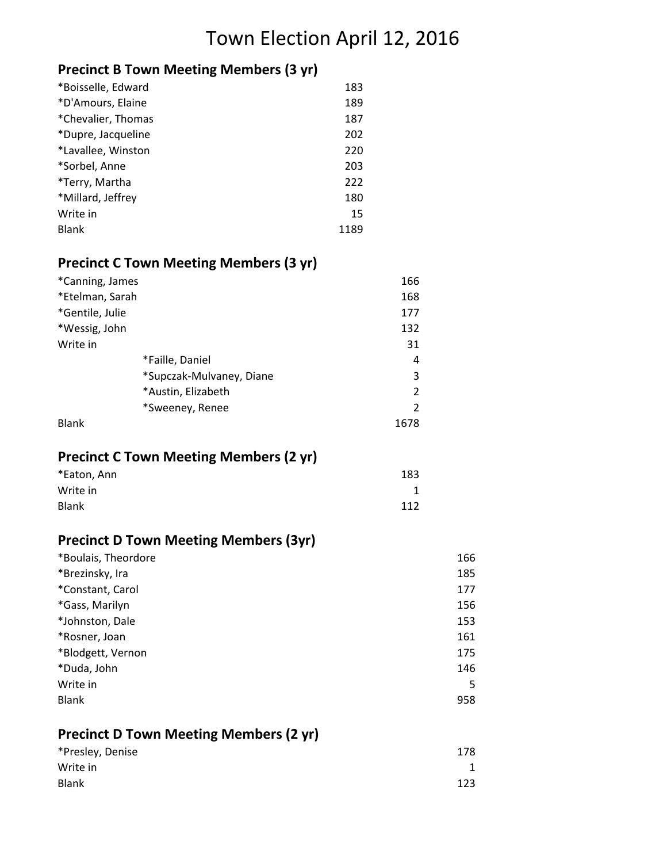## **Precinct B Town Meeting Members (3 yr)**

| *Boisselle, Edward | 183  |
|--------------------|------|
| *D'Amours, Elaine  | 189  |
| *Chevalier, Thomas | 187  |
| *Dupre, Jacqueline | 202  |
| *Lavallee, Winston | 220  |
| *Sorbel, Anne      | 203  |
| *Terry, Martha     | 222  |
| *Millard, Jeffrey  | 180  |
| Write in           | 15   |
| <b>Blank</b>       | 1189 |

#### **Precinct C Town Meeting Members (3 yr)**

| *Canning, James          | 166           |
|--------------------------|---------------|
| *Etelman, Sarah          | 168           |
| *Gentile, Julie          | 177           |
| *Wessig, John            | 132           |
| Write in                 | 31            |
| *Faille, Daniel          | 4             |
| *Supczak-Mulvaney, Diane | 3             |
| *Austin, Elizabeth       | 2             |
| *Sweeney, Renee          | $\mathcal{P}$ |
| <b>Blank</b>             | 1678          |

#### **Precinct C Town Meeting Members (2 yr)**

| *Eaton, Ann  | 183 |
|--------------|-----|
| Write in     |     |
| <b>Blank</b> | 112 |

### **Precinct D Town Meeting Members (3yr)**

| *Boulais, Theordore | 166 |
|---------------------|-----|
| *Brezinsky, Ira     | 185 |
| *Constant, Carol    | 177 |
| *Gass, Marilyn      | 156 |
| *Johnston, Dale     | 153 |
| *Rosner, Joan       | 161 |
| *Blodgett, Vernon   | 175 |
| *Duda, John         | 146 |
| Write in            | 5   |
| <b>Blank</b>        | 958 |

## **Precinct D Town Meeting Members (2 yr)**

| *Presley, Denise | 178 |
|------------------|-----|
| Write in         |     |
| <b>Blank</b>     | 123 |